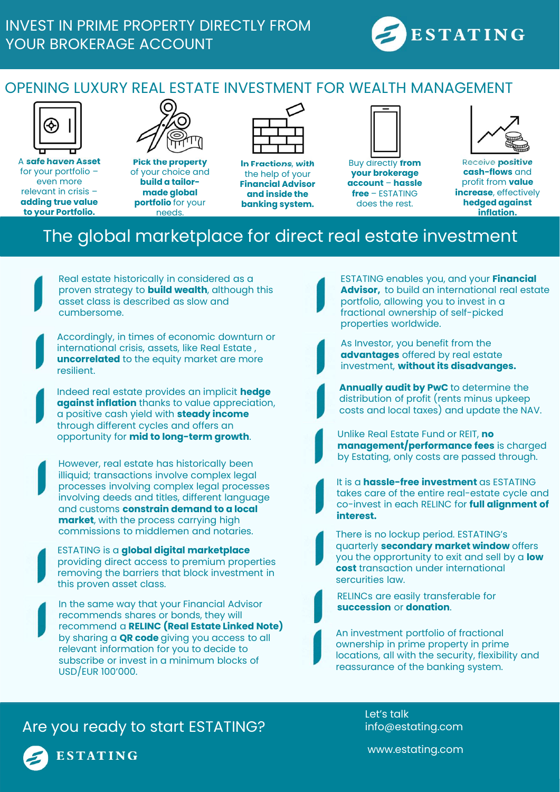

## OPENING LUXURY REAL ESTATE INVESTMENT FOR WEALTH MANAGEMENT



A safe haven Asset for your portfolio – even more relevant in crisis – adding true value to your Portfolio.



Pick the property of your choice and build a tailormade global portfolio for your needs.

In Fractions, with the help of your Financial Advisor and inside the banking system.



Buy directly from your brokerage **account – hassle<br>free – FSTATING** does the rest.



WEALTH MANAGEMENT<br>
<br>
<br>
Buy directly from<br>
<br>
your brokerage<br>
<br>
<br> **EXECUTE:**<br>
<br> **EXECUTE:**<br>
<br> **EXECUTE:**<br>
<br> **EXECUTE:**<br>
<br> **EXECUTE:**<br>
<br> **EXECUTE:**<br>
<br> **EXECUTE:**<br>
<br> **EXECUTE:**<br>
<br> **EXECUTE:**<br>
<br> **EXECUTE:**<br> **EXECUTE:**<br> **EXECUTE** Receive positive cash-flows and profit from value **increase**, effectively hedged against inflation.

## The global marketplace for direct real estate investment

Real estate historically in considered as a proven strategy to **build wealth**, although this asset class is described as slow and cumbersome.

Accordingly, in times of economic downturn or international crisis, assets, like Real Estate , uncorrelated to the equity market are more resilient.

Indeed real estate provides an implicit hedge against inflation thanks to value appreciation, a positive cash yield with **steady income** through different cycles and offers an opportunity for mid to long-term growth.

However, real estate has historically been illiquid; transactions involve complex legal processes involving complex legal processes involving deeds and titles, different language and customs constrain demand to a local market, with the process carrying high commissions to middlemen and notaries.

ESTATING is a global digital marketplace providing direct access to premium properties removing the barriers that block investment in this proven asset class.

In the same way that your Financial Advisor recommends shares or bonds, they will recommend a RELINC (Real Estate Linked Note) by sharing a **QR code** giving you access to all relevant information for you to decide to subscribe or invest in a minimum blocks of USD/EUR 100'000.

ESTATING enables you, and your Financial Advisor, to build an international real estate portfolio, allowing you to invest in a fractional ownership of self-picked properties worldwide.



As Investor, you benefit from the advantages offered by real estate investment, without its disadvanges.

**Annually audit by PwC** to determine the distribution of profit (rents minus upkeep costs and local taxes) and update the NAV.

Unlike Real Estate Fund or REIT, no management/performance fees is charged by Estating, only costs are passed through.

It is a hassle-free investment as ESTATING takes care of the entire real-estate cycle and co-invest in each RELINC for full alignment of interest.

There is no lockup period. ESTATING's quarterly **secondary market window** offers you the opprortunity to exit and sell by a low cost transaction under international sercurities law.

RELINCs are easily transferable for succession or donation.

An investment portfolio of fractional ownership in prime property in prime locations, all with the security, flexibility and reassurance of the banking system.

Are you ready to start ESTATING?



**ESTATING** 

Let's talk info@estating.com

www.estating.com